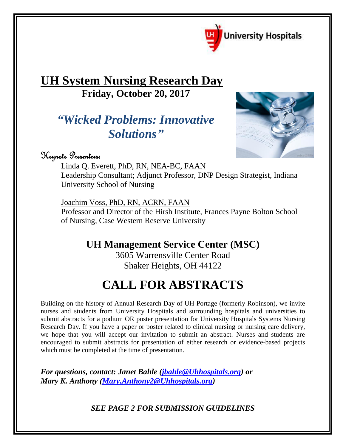

## **UH System Nursing Research Day Friday, October 20, 2017**

## *"Wicked Problems: Innovative Solutions"*



Keynote Presenters:

Linda Q. Everett, PhD, RN, NEA-BC, FAAN

Leadership Consultant; Adjunct Professor, DNP Design Strategist, Indiana University School of Nursing

Joachim Voss, PhD, RN, ACRN, FAAN Professor and Director of the Hirsh Institute, Frances Payne Bolton School of Nursing, Case Western Reserve University

**UH Management Service Center (MSC)** 

3605 Warrensville Center Road Shaker Heights, OH 44122

# **CALL FOR ABSTRACTS**

Building on the history of Annual Research Day of UH Portage (formerly Robinson), we invite nurses and students from University Hospitals and surrounding hospitals and universities to submit abstracts for a podium OR poster presentation for University Hospitals Systems Nursing Research Day. If you have a paper or poster related to clinical nursing or nursing care delivery, we hope that you will accept our invitation to submit an abstract. Nurses and students are encouraged to submit abstracts for presentation of either research or evidence-based projects which must be completed at the time of presentation.

*For questions, contact: Janet Bahle [\(jbahle@Uhhospitals.org\)](mailto:jbahle@Uhhospitals.org) or Mary K. Anthony [\(Mary.Anthony2@Uhhospitals.org\)](mailto:Mary.Anthony2@Uhhospitals.org)*

*SEE PAGE 2 FOR SUBMISSION GUIDELINES*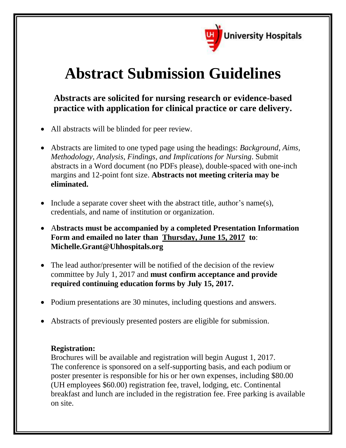

# **Abstract Submission Guidelines**

**Abstracts are solicited for nursing research or evidence-based practice with application for clinical practice or care delivery.**

- All abstracts will be blinded for peer review.
- Abstracts are limited to one typed page using the headings: *Background*, *Aims, Methodology, Analysis, Findings, and Implications for Nursing*. Submit abstracts in a Word document (no PDFs please), double-spaced with one-inch margins and 12-point font size. **Abstracts not meeting criteria may be eliminated.**
- Include a separate cover sheet with the abstract title, author's name(s), credentials, and name of institution or organization.
- A**bstracts must be accompanied by a completed Presentation Information Form and emailed no later than Thursday, June 15, 2017 to**: **Michelle.Grant@Uhhospitals.org**
- The lead author/presenter will be notified of the decision of the review committee by July 1, 2017 and **must confirm acceptance and provide required continuing education forms by July 15, 2017.**
- Podium presentations are 30 minutes, including questions and answers.
- Abstracts of previously presented posters are eligible for submission.

#### **Registration:**

Brochures will be available and registration will begin August 1, 2017. The conference is sponsored on a self-supporting basis, and each podium or poster presenter is responsible for his or her own expenses, including \$80.00 (UH employees \$60.00) registration fee, travel, lodging, etc. Continental breakfast and lunch are included in the registration fee. Free parking is available on site.